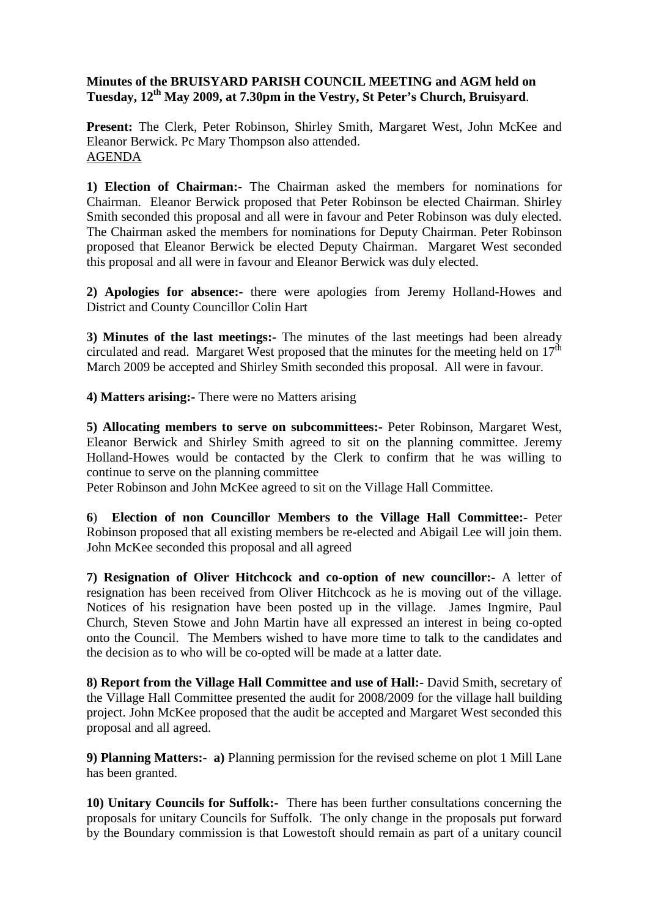## **Minutes of the BRUISYARD PARISH COUNCIL MEETING and AGM held on Tuesday, 12th May 2009, at 7.30pm in the Vestry, St Peter's Church, Bruisyard**.

**Present:** The Clerk, Peter Robinson, Shirley Smith, Margaret West, John McKee and Eleanor Berwick. Pc Mary Thompson also attended. AGENDA

**1) Election of Chairman:-** The Chairman asked the members for nominations for Chairman. Eleanor Berwick proposed that Peter Robinson be elected Chairman. Shirley Smith seconded this proposal and all were in favour and Peter Robinson was duly elected. The Chairman asked the members for nominations for Deputy Chairman. Peter Robinson proposed that Eleanor Berwick be elected Deputy Chairman. Margaret West seconded this proposal and all were in favour and Eleanor Berwick was duly elected.

**2) Apologies for absence:-** there were apologies from Jeremy Holland-Howes and District and County Councillor Colin Hart

**3) Minutes of the last meetings:-** The minutes of the last meetings had been already circulated and read. Margaret West proposed that the minutes for the meeting held on  $17<sup>th</sup>$ March 2009 be accepted and Shirley Smith seconded this proposal. All were in favour.

**4) Matters arising:-** There were no Matters arising

**5) Allocating members to serve on subcommittees:-** Peter Robinson, Margaret West, Eleanor Berwick and Shirley Smith agreed to sit on the planning committee. Jeremy Holland-Howes would be contacted by the Clerk to confirm that he was willing to continue to serve on the planning committee

Peter Robinson and John McKee agreed to sit on the Village Hall Committee.

**6**) **Election of non Councillor Members to the Village Hall Committee:-** Peter Robinson proposed that all existing members be re-elected and Abigail Lee will join them. John McKee seconded this proposal and all agreed

**7) Resignation of Oliver Hitchcock and co-option of new councillor:-** A letter of resignation has been received from Oliver Hitchcock as he is moving out of the village. Notices of his resignation have been posted up in the village. James Ingmire, Paul Church, Steven Stowe and John Martin have all expressed an interest in being co-opted onto the Council. The Members wished to have more time to talk to the candidates and the decision as to who will be co-opted will be made at a latter date.

**8) Report from the Village Hall Committee and use of Hall:-** David Smith, secretary of the Village Hall Committee presented the audit for 2008/2009 for the village hall building project. John McKee proposed that the audit be accepted and Margaret West seconded this proposal and all agreed.

**9) Planning Matters:- a)** Planning permission for the revised scheme on plot 1 Mill Lane has been granted.

**10) Unitary Councils for Suffolk:-** There has been further consultations concerning the proposals for unitary Councils for Suffolk. The only change in the proposals put forward by the Boundary commission is that Lowestoft should remain as part of a unitary council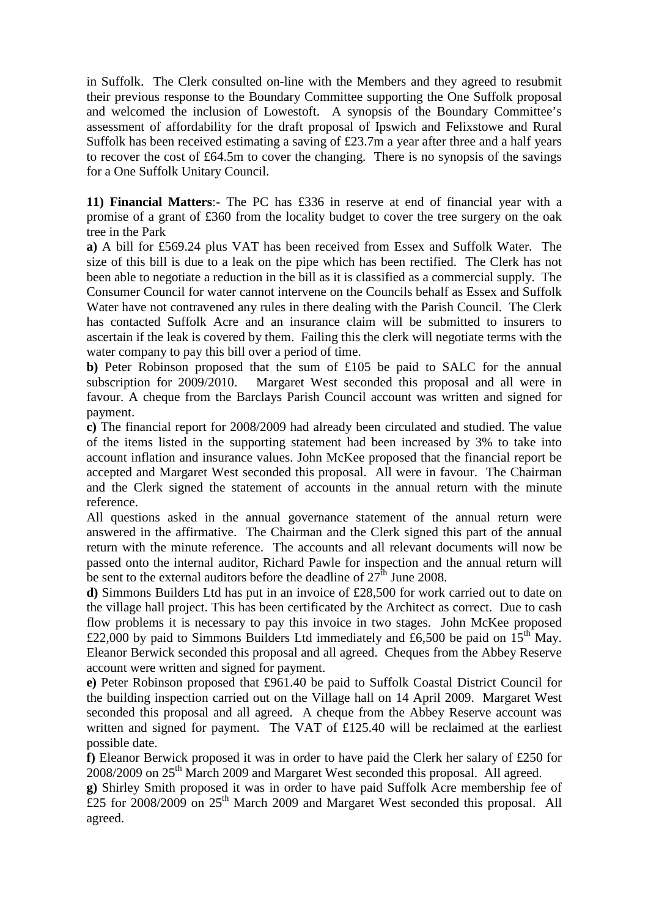in Suffolk. The Clerk consulted on-line with the Members and they agreed to resubmit their previous response to the Boundary Committee supporting the One Suffolk proposal and welcomed the inclusion of Lowestoft. A synopsis of the Boundary Committee's assessment of affordability for the draft proposal of Ipswich and Felixstowe and Rural Suffolk has been received estimating a saving of £23.7m a year after three and a half years to recover the cost of £64.5m to cover the changing. There is no synopsis of the savings for a One Suffolk Unitary Council.

**11) Financial Matters**:- The PC has £336 in reserve at end of financial year with a promise of a grant of £360 from the locality budget to cover the tree surgery on the oak tree in the Park

**a)** A bill for £569.24 plus VAT has been received from Essex and Suffolk Water. The size of this bill is due to a leak on the pipe which has been rectified. The Clerk has not been able to negotiate a reduction in the bill as it is classified as a commercial supply. The Consumer Council for water cannot intervene on the Councils behalf as Essex and Suffolk Water have not contravened any rules in there dealing with the Parish Council. The Clerk has contacted Suffolk Acre and an insurance claim will be submitted to insurers to ascertain if the leak is covered by them. Failing this the clerk will negotiate terms with the water company to pay this bill over a period of time.

**b)** Peter Robinson proposed that the sum of £105 be paid to SALC for the annual subscription for 2009/2010. Margaret West seconded this proposal and all were in favour. A cheque from the Barclays Parish Council account was written and signed for payment.

**c)** The financial report for 2008/2009 had already been circulated and studied. The value of the items listed in the supporting statement had been increased by 3% to take into account inflation and insurance values. John McKee proposed that the financial report be accepted and Margaret West seconded this proposal. All were in favour. The Chairman and the Clerk signed the statement of accounts in the annual return with the minute reference.

All questions asked in the annual governance statement of the annual return were answered in the affirmative. The Chairman and the Clerk signed this part of the annual return with the minute reference. The accounts and all relevant documents will now be passed onto the internal auditor, Richard Pawle for inspection and the annual return will be sent to the external auditors before the deadline of  $27<sup>th</sup>$  June 2008.

**d)** Simmons Builders Ltd has put in an invoice of £28,500 for work carried out to date on the village hall project. This has been certificated by the Architect as correct. Due to cash flow problems it is necessary to pay this invoice in two stages. John McKee proposed £22,000 by paid to Simmons Builders Ltd immediately and £6,500 be paid on  $15<sup>th</sup>$  May. Eleanor Berwick seconded this proposal and all agreed. Cheques from the Abbey Reserve account were written and signed for payment.

**e)** Peter Robinson proposed that £961.40 be paid to Suffolk Coastal District Council for the building inspection carried out on the Village hall on 14 April 2009. Margaret West seconded this proposal and all agreed. A cheque from the Abbey Reserve account was written and signed for payment. The VAT of £125.40 will be reclaimed at the earliest possible date.

**f)** Eleanor Berwick proposed it was in order to have paid the Clerk her salary of £250 for 2008/2009 on 25<sup>th</sup> March 2009 and Margaret West seconded this proposal. All agreed.

**g)** Shirley Smith proposed it was in order to have paid Suffolk Acre membership fee of £25 for 2008/2009 on 25<sup>th</sup> March 2009 and Margaret West seconded this proposal. All agreed.